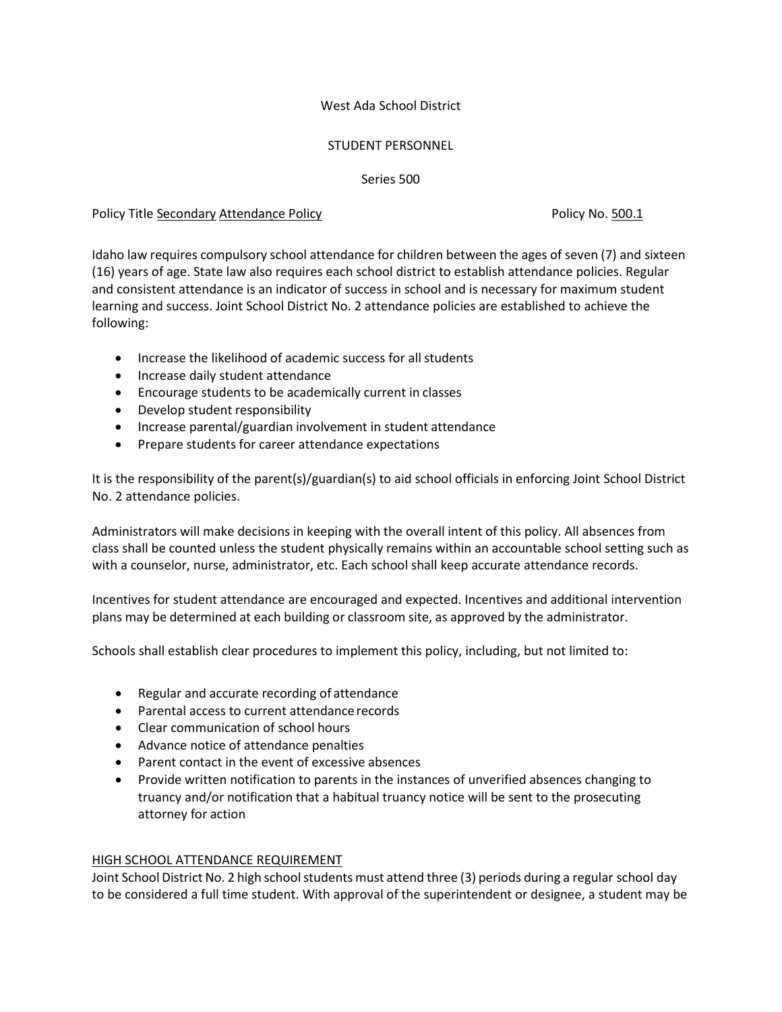## West Ada School District

## STUDENT PERSONNEL

Series 500

## Policy Title Secondary Attendance Policy No. 500.1 Policy No. 500.1

Idaho law requires compulsory school attendance for children between the ages of seven (7) and sixteen (16) years of age. State law also requires each school district to establish attendance policies. Regular and consistent attendance is an indicator of success in school and is necessary for maximum student learning and success. Joint School District No. 2 attendance policies are established to achieve the following:

- Increase the likelihood of academic success for all students
- Increase daily student attendance
- Encourage students to be academically current in classes
- Develop student responsibility
- Increase parental/guardian involvement in student attendance
- Prepare students for career attendance expectations

It is the responsibility of the parent(s)/guardian(s) to aid school officials in enforcing Joint School District No. 2 attendance policies.

Administrators will make decisions in keeping with the overall intent of this policy. All absences from class shall be counted unless the student physically remains within an accountable school setting such as with a counselor, nurse, administrator, etc. Each school shall keep accurate attendance records.

Incentives for student attendance are encouraged and expected. Incentives and additional intervention plans may be determined at each building or classroom site, as approved by the administrator.

Schools shall establish clear procedures to implement this policy, including, but not limited to:

- Regular and accurate recording of attendance
- Parental access to current attendancerecords
- Clear communication of school hours
- Advance notice of attendance penalties
- Parent contact in the event of excessive absences
- Provide written notification to parents in the instances of unverified absences changing to truancy and/or notification that a habitual truancy notice will be sent to the prosecuting attorney for action

# HIGH SCHOOL ATTENDANCE REQUIREMENT

Joint School District No. 2 high school students must attend three (3) periods during a regular school day to be considered a full time student. With approval of the superintendent or designee, a student may be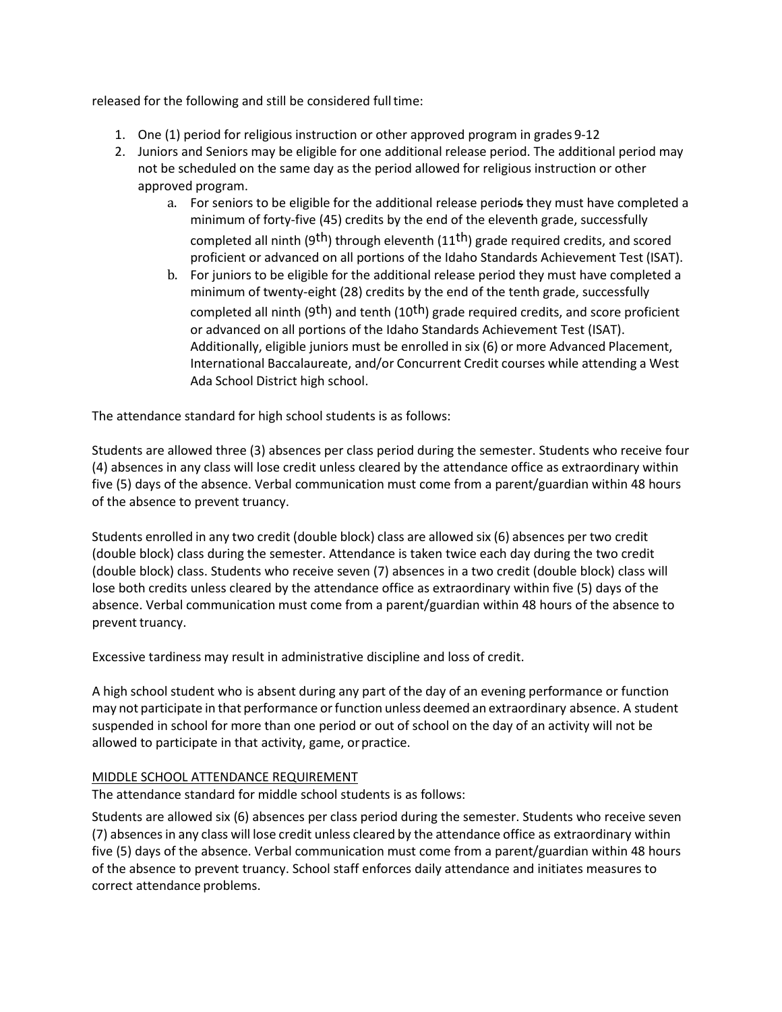released for the following and still be considered full time:

- 1. One (1) period for religious instruction or other approved program in grades 9-12
- 2. Juniors and Seniors may be eligible for one additional release period. The additional period may not be scheduled on the same day as the period allowed for religious instruction or other approved program.
	- a. For seniors to be eligible for the additional release periods they must have completed a minimum of forty-five (45) credits by the end of the eleventh grade, successfully completed all ninth (9<sup>th</sup>) through eleventh (11<sup>th</sup>) grade required credits, and scored proficient or advanced on all portions of the Idaho Standards Achievement Test (ISAT).
	- b. For juniors to be eligible for the additional release period they must have completed a minimum of twenty-eight (28) credits by the end of the tenth grade, successfully completed all ninth (9<sup>th</sup>) and tenth (10<sup>th</sup>) grade required credits, and score proficient or advanced on all portions of the Idaho Standards Achievement Test (ISAT). Additionally, eligible juniors must be enrolled in six (6) or more Advanced Placement, International Baccalaureate, and/or Concurrent Credit courses while attending a West Ada School District high school.

The attendance standard for high school students is as follows:

Students are allowed three (3) absences per class period during the semester. Students who receive four (4) absences in any class will lose credit unless cleared by the attendance office as extraordinary within five (5) days of the absence. Verbal communication must come from a parent/guardian within 48 hours of the absence to prevent truancy.

Students enrolled in any two credit (double block) class are allowed six (6) absences per two credit (double block) class during the semester. Attendance is taken twice each day during the two credit (double block) class. Students who receive seven (7) absences in a two credit (double block) class will lose both credits unless cleared by the attendance office as extraordinary within five (5) days of the absence. Verbal communication must come from a parent/guardian within 48 hours of the absence to prevent truancy.

Excessive tardiness may result in administrative discipline and loss of credit.

A high school student who is absent during any part of the day of an evening performance or function may not participate in that performance or function unless deemed an extraordinary absence. A student suspended in school for more than one period or out of school on the day of an activity will not be allowed to participate in that activity, game, orpractice.

## MIDDLE SCHOOL ATTENDANCE REQUIREMENT

The attendance standard for middle school students is as follows:

Students are allowed six (6) absences per class period during the semester. Students who receive seven (7) absencesin any class will lose credit unless cleared by the attendance office as extraordinary within five (5) days of the absence. Verbal communication must come from a parent/guardian within 48 hours of the absence to prevent truancy. School staff enforces daily attendance and initiates measures to correct attendance problems.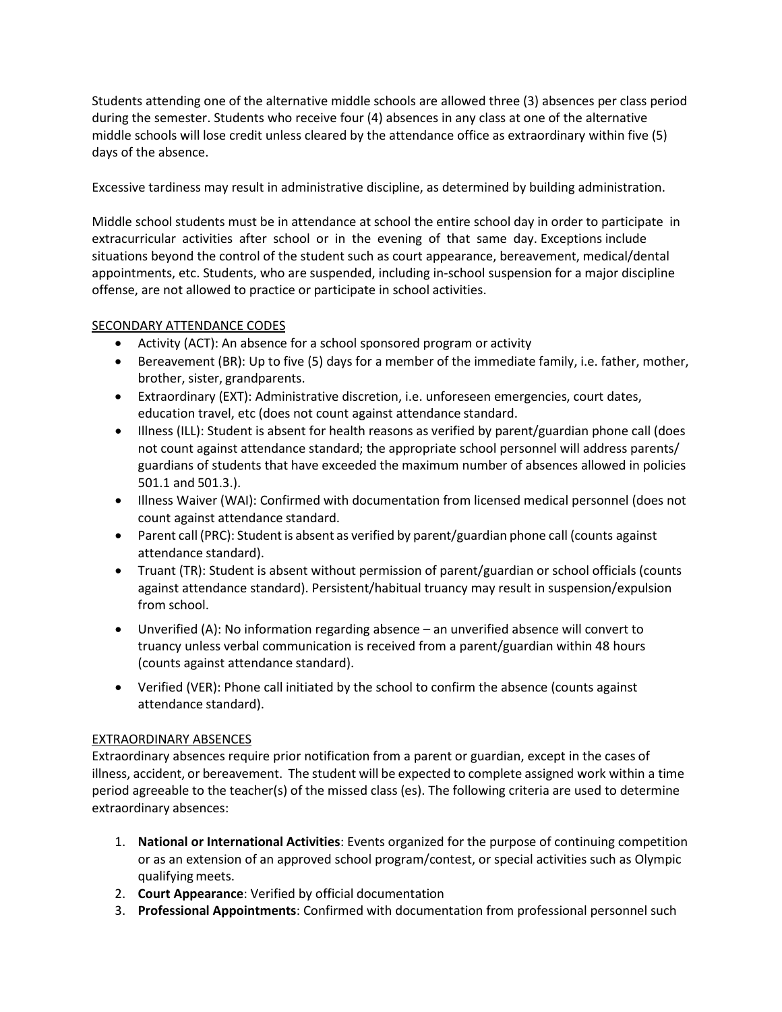Students attending one of the alternative middle schools are allowed three (3) absences per class period during the semester. Students who receive four (4) absences in any class at one of the alternative middle schools will lose credit unless cleared by the attendance office as extraordinary within five (5) days of the absence.

Excessive tardiness may result in administrative discipline, as determined by building administration.

Middle school students must be in attendance at school the entire school day in order to participate in extracurricular activities after school or in the evening of that same day. Exceptions include situations beyond the control of the student such as court appearance, bereavement, medical/dental appointments, etc. Students, who are suspended, including in-school suspension for a major discipline offense, are not allowed to practice or participate in school activities.

# SECONDARY ATTENDANCE CODES

- Activity (ACT): An absence for a school sponsored program or activity
- Bereavement (BR): Up to five (5) days for a member of the immediate family, i.e. father, mother, brother, sister, grandparents.
- Extraordinary (EXT): Administrative discretion, i.e. unforeseen emergencies, court dates, education travel, etc (does not count against attendance standard.
- Illness (ILL): Student is absent for health reasons as verified by parent/guardian phone call (does not count against attendance standard; the appropriate school personnel will address parents/ guardians of students that have exceeded the maximum number of absences allowed in policies 501.1 and 501.3.).
- Illness Waiver (WAI): Confirmed with documentation from licensed medical personnel (does not count against attendance standard.
- Parent call (PRC): Student is absent as verified by parent/guardian phone call (counts against attendance standard).
- Truant (TR): Student is absent without permission of parent/guardian or school officials (counts against attendance standard). Persistent/habitual truancy may result in suspension/expulsion from school.
- Unverified (A): No information regarding absence an unverified absence will convert to truancy unless verbal communication is received from a parent/guardian within 48 hours (counts against attendance standard).
- Verified (VER): Phone call initiated by the school to confirm the absence (counts against attendance standard).

# EXTRAORDINARY ABSENCES

Extraordinary absences require prior notification from a parent or guardian, except in the cases of illness, accident, or bereavement. The student will be expected to complete assigned work within a time period agreeable to the teacher(s) of the missed class (es). The following criteria are used to determine extraordinary absences:

- 1. **National or International Activities**: Events organized for the purpose of continuing competition or as an extension of an approved school program/contest, or special activities such as Olympic qualifying meets.
- 2. **Court Appearance**: Verified by official documentation
- 3. **Professional Appointments**: Confirmed with documentation from professional personnel such